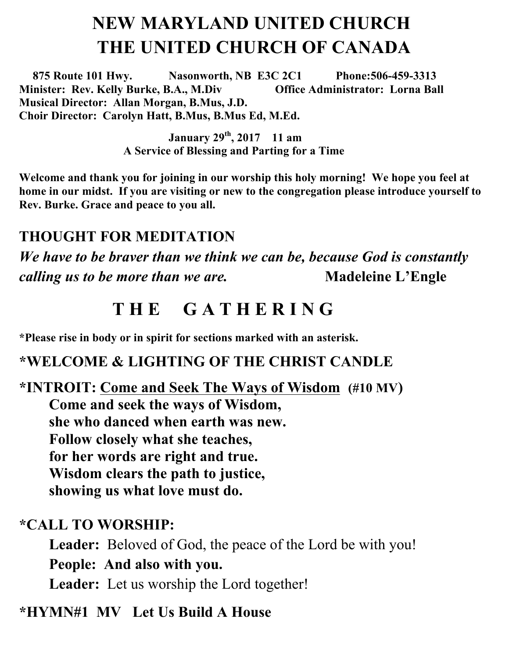# **NEW MARYLAND UNITED CHURCH THE UNITED CHURCH OF CANADA**

 **875 Route 101 Hwy. Nasonworth, NB E3C 2C1 Phone:506-459-3313 Minister: Rev. Kelly Burke, B.A., M.Div Office Administrator: Lorna Ball Musical Director: Allan Morgan, B.Mus, J.D. Choir Director: Carolyn Hatt, B.Mus, B.Mus Ed, M.Ed.** 

> **January 29th , 2017 11 am A Service of Blessing and Parting for a Time**

**Welcome and thank you for joining in our worship this holy morning! We hope you feel at home in our midst. If you are visiting or new to the congregation please introduce yourself to Rev. Burke. Grace and peace to you all.**

### **THOUGHT FOR MEDITATION**

*We have to be braver than we think we can be, because God is constantly calling us to be more than we are.* Madeleine L'Engle

# **T H E G A T H E R I N G**

**\*Please rise in body or in spirit for sections marked with an asterisk.**

### **\*WELCOME & LIGHTING OF THE CHRIST CANDLE**

**\*INTROIT: Come and Seek The Ways of Wisdom (#10 MV) Come and seek the ways of Wisdom, she who danced when earth was new. Follow closely what she teaches, for her words are right and true. Wisdom clears the path to justice, showing us what love must do.**

#### **\*CALL TO WORSHIP:**

**Leader:** Beloved of God, the peace of the Lord be with you! **People: And also with you. Leader:** Let us worship the Lord together!

#### **\*HYMN#1 MV Let Us Build A House**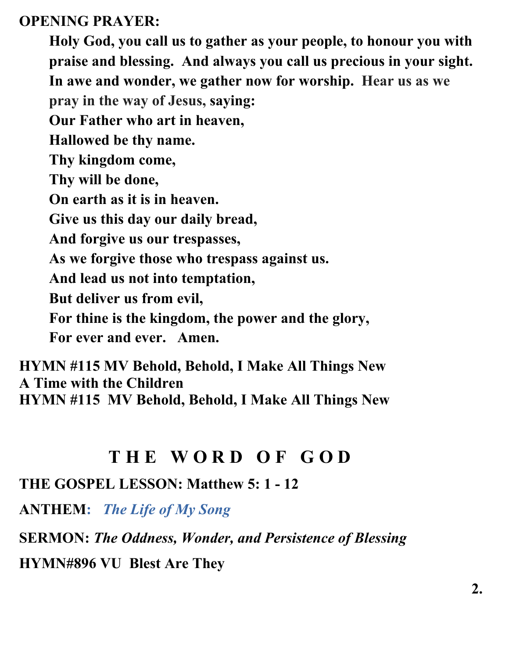#### **OPENING PRAYER:**

**Holy God, you call us to gather as your people, to honour you with praise and blessing. And always you call us precious in your sight. In awe and wonder, we gather now for worship. Hear us as we pray in the way of Jesus, saying: Our Father who art in heaven, Hallowed be thy name. Thy kingdom come, Thy will be done, On earth as it is in heaven. Give us this day our daily bread, And forgive us our trespasses, As we forgive those who trespass against us. And lead us not into temptation, But deliver us from evil, For thine is the kingdom, the power and the glory, For ever and ever. Amen.** 

**HYMN #115 MV Behold, Behold, I Make All Things New A Time with the Children HYMN #115 MV Behold, Behold, I Make All Things New**

## **T H E W O R D O F G O D**

**THE GOSPEL LESSON: Matthew 5: 1 - 12**

**ANTHEM:** *The Life of My Song*

**SERMON:** *The Oddness, Wonder, and Persistence of Blessing*

**HYMN#896 VU Blest Are They**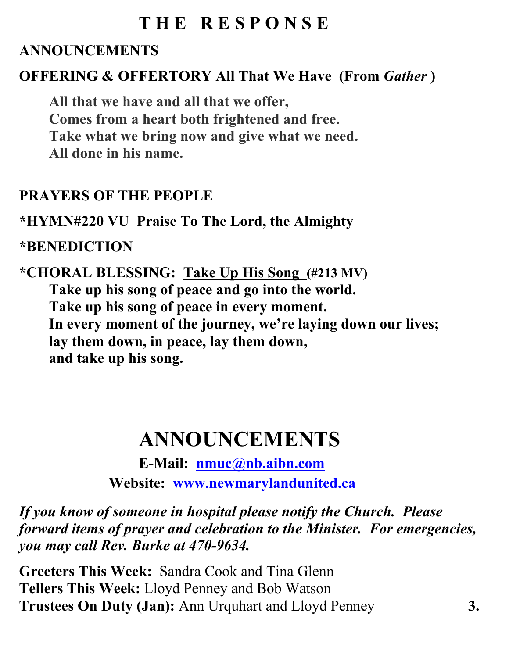# **T H E R E S P O N S E**

### **ANNOUNCEMENTS**

## **OFFERING & OFFERTORY All That We Have (From** *Gather* **)**

**All that we have and all that we offer, Comes from a heart both frightened and free. Take what we bring now and give what we need. All done in his name.**

#### **PRAYERS OF THE PEOPLE**

**\*HYMN#220 VU Praise To The Lord, the Almighty**

#### **\*BENEDICTION**

**\*CHORAL BLESSING: Take Up His Song (#213 MV) Take up his song of peace and go into the world. Take up his song of peace in every moment. In every moment of the journey, we're laying down our lives; lay them down, in peace, lay them down, and take up his song.**

# **ANNOUNCEMENTS**

**E-Mail: nmuc@nb.aibn.com Website: www.newmarylandunited.ca**

*If you know of someone in hospital please notify the Church. Please forward items of prayer and celebration to the Minister. For emergencies, you may call Rev. Burke at 470-9634.*

**Greeters This Week:** Sandra Cook and Tina Glenn **Tellers This Week:** Lloyd Penney and Bob Watson **Trustees On Duty (Jan):** Ann Urquhart and Lloyd Penney **3.**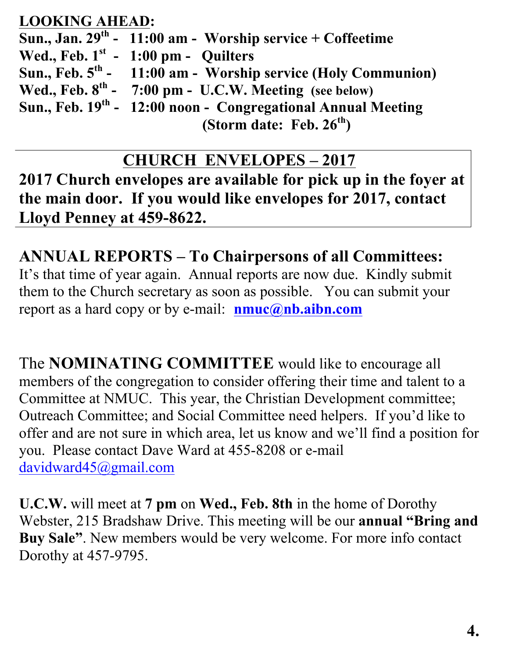### **LOOKING AHEAD:**

Sun., Jan. 29<sup>th</sup> - 11:00 am - Worship service + Coffeetime<br>Wed., Feb. 1<sup>st</sup> - 1:00 pm - Quilters Wed., Feb. 1<sup>st</sup> - 1:00 pm - Quilters<br>Sun., Feb. 5<sup>th</sup> - 11:00 am - Worship Sun., Feb. 5<sup>th</sup> - 11:00 am - Worship service (Holy Communion)<br>Wed., Feb. 8<sup>th</sup> - 7:00 pm - U.C.W. Meeting (see below) Wed., Feb. 8<sup>th</sup> - 7:00 pm - U.C.W. Meeting (see below)<br>Sun., Feb. 19<sup>th</sup> - 12:00 noon - Congregational Annual N **12:00 noon - Congregational Annual Meeting (Storm date: Feb. 26th)**

## **CHURCH ENVELOPES – 2017**

**2017 Church envelopes are available for pick up in the foyer at the main door. If you would like envelopes for 2017, contact Lloyd Penney at 459-8622.**

# **ANNUAL REPORTS – To Chairpersons of all Committees:**

It's that time of year again. Annual reports are now due. Kindly submit them to the Church secretary as soon as possible. You can submit your report as a hard copy or by e-mail: **nmuc@nb.aibn.com**

The **NOMINATING COMMITTEE** would like to encourage all members of the congregation to consider offering their time and talent to a Committee at NMUC. This year, the Christian Development committee; Outreach Committee; and Social Committee need helpers. If you'd like to offer and are not sure in which area, let us know and we'll find a position for you. Please contact Dave Ward at 455-8208 or e-mail davidward45@gmail.com

**U.C.W.** will meet at **7 pm** on **Wed., Feb. 8th** in the home of Dorothy Webster, 215 Bradshaw Drive. This meeting will be our **annual "Bring and Buy Sale"**. New members would be very welcome. For more info contact Dorothy at 457-9795.